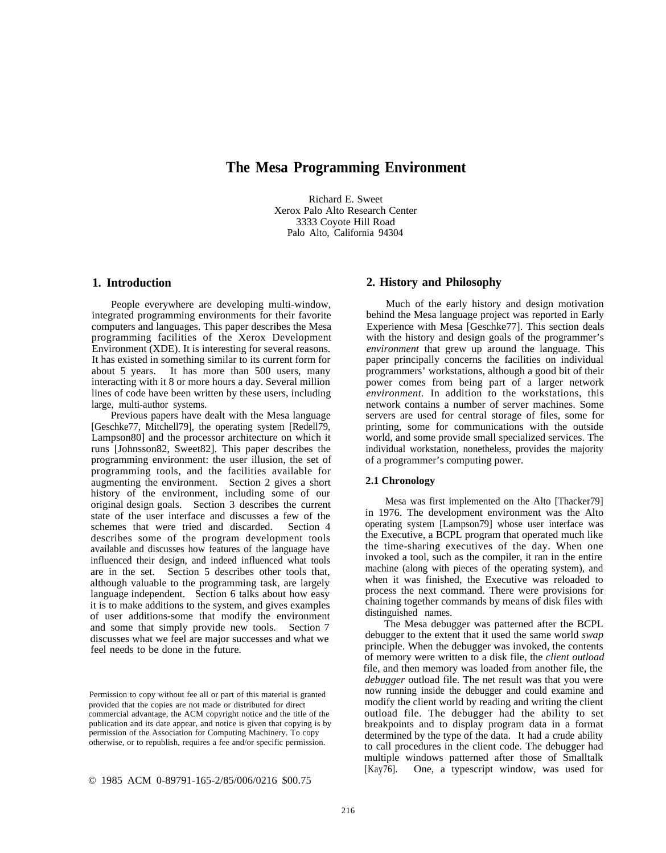# **The Mesa Programming Environment**

Richard E. Sweet Xerox Palo Alto Research Center 3333 Coyote Hill Road Palo Alto, California 94304

## **1. Introduction**

People everywhere are developing multi-window, integrated programming environments for their favorite computers and languages. This paper describes the Mesa programming facilities of the Xerox Development Environment (XDE). It is interesting for several reasons. It has existed in something similar to its current form for about 5 years. It has more than 500 users, many interacting with it 8 or more hours a day. Several million lines of code have been written by these users, including large, multi-author systems.

Previous papers have dealt with the Mesa language [Geschke77, Mitchell79], the operating system [Redell79, Lampson80] and the processor architecture on which it runs [Johnsson82, Sweet82]. This paper describes the programming environment: the user illusion, the set of programming tools, and the facilities available for augmenting the environment. Section 2 gives a short history of the environment, including some of our original design goals. Section 3 describes the current state of the user interface and discusses a few of the schemes that were tried and discarded. Section 4 describes some of the program development tools available and discusses how features of the language have influenced their design, and indeed influenced what tools are in the set. Section 5 describes other tools that, although valuable to the programming task, are largely language independent. Section 6 talks about how easy it is to make additions to the system, and gives examples of user additions-some that modify the environment and some that simply provide new tools. Section 7 discusses what we feel are major successes and what we feel needs to be done in the future.

Permission to copy without fee all or part of this material is granted provided that the copies are not made or distributed for direct commercial advantage, the ACM copyright notice and the title of the publication and its date appear, and notice is given that copying is by permission of the Association for Computing Machinery. To copy otherwise, or to republish, requires a fee and/or specific permission.

## **2. History and Philosophy**

Much of the early history and design motivation behind the Mesa language project was reported in Early Experience with Mesa [Geschke77]. This section deals with the history and design goals of the programmer's *environment* that grew up around the language. This paper principally concerns the facilities on individual programmers' workstations, although a good bit of their power comes from being part of a larger network *environment.* In addition to the workstations, this network contains a number of server machines. Some servers are used for central storage of files, some for printing, some for communications with the outside world, and some provide small specialized services. The individual workstation, nonetheless, provides the majority of a programmer's computing power.

## **2.1 Chronology**

Mesa was first implemented on the Alto [Thacker79] in 1976. The development environment was the Alto operating system [Lampson79] whose user interface was the Executive, a BCPL program that operated much like the time-sharing executives of the day. When one invoked a tool, such as the compiler, it ran in the entire machine (along with pieces of the operating system), and when it was finished, the Executive was reloaded to process the next command. There were provisions for chaining together commands by means of disk files with distinguished names.

The Mesa debugger was patterned after the BCPL debugger to the extent that it used the same world *swap* principle. When the debugger was invoked, the contents of memory were written to a disk file, the *client outload* file, and then memory was loaded from another file, the *debugger* outload file. The net result was that you were now running inside the debugger and could examine and modify the client world by reading and writing the client outload file. The debugger had the ability to set breakpoints and to display program data in a format determined by the type of the data. It had a crude ability to call procedures in the client code. The debugger had multiple windows patterned after those of Smalltalk [Kay76]. One, a typescript window, was used for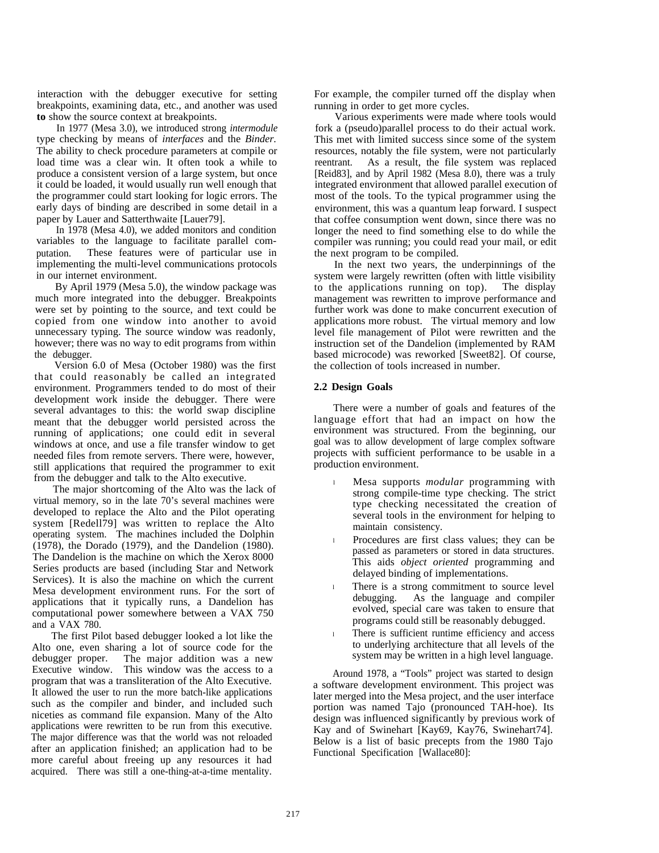interaction with the debugger executive for setting breakpoints, examining data, etc., and another was used **to** show the source context at breakpoints.

In 1977 (Mesa 3.0), we introduced strong *intermodule* type checking by means of *interfaces* and the *Binder.* The ability to check procedure parameters at compile or load time was a clear win. It often took a while to produce a consistent version of a large system, but once it could be loaded, it would usually run well enough that the programmer could start looking for logic errors. The early days of binding are described in some detail in a paper by Lauer and Satterthwaite [Lauer79].

In 1978 (Mesa 4.0), we added monitors and condition variables to the language to facilitate parallel computation. These features were of particular use in implementing the multi-level communications protocols in our internet environment.

By April 1979 (Mesa 5.0), the window package was much more integrated into the debugger. Breakpoints were set by pointing to the source, and text could be copied from one window into another to avoid unnecessary typing. The source window was readonly, however; there was no way to edit programs from within the debugger.

Version 6.0 of Mesa (October 1980) was the first that could reasonably be called an integrated environment. Programmers tended to do most of their development work inside the debugger. There were several advantages to this: the world swap discipline meant that the debugger world persisted across the running of applications; one could edit in several windows at once, and use a file transfer window to get needed files from remote servers. There were, however, still applications that required the programmer to exit from the debugger and talk to the Alto executive.

The major shortcoming of the Alto was the lack of virtual memory, so in the late 70's several machines were developed to replace the Alto and the Pilot operating system [Redell79] was written to replace the Alto operating system. The machines included the Dolphin (1978), the Dorado (1979), and the Dandelion (1980). The Dandelion is the machine on which the Xerox 8000 Series products are based (including Star and Network Services). It is also the machine on which the current Mesa development environment runs. For the sort of applications that it typically runs, a Dandelion has computational power somewhere between a VAX 750 and a VAX 780.

The first Pilot based debugger looked a lot like the Alto one, even sharing a lot of source code for the debugger proper. The major addition was a new Executive window. This window was the access to a program that was a transliteration of the Alto Executive. It allowed the user to run the more batch-like applications such as the compiler and binder, and included such niceties as command file expansion. Many of the Alto applications were rewritten to be run from this executive. The major difference was that the world was not reloaded after an application finished; an application had to be more careful about freeing up any resources it had acquired. There was still a one-thing-at-a-time mentality.

For example, the compiler turned off the display when running in order to get more cycles.

Various experiments were made where tools would fork a (pseudo)parallel process to do their actual work. This met with limited success since some of the system resources, notably the file system, were not particularly reentrant. As a result, the file system was replaced [Reid83], and by April 1982 (Mesa 8.0), there was a truly integrated environment that allowed parallel execution of most of the tools. To the typical programmer using the environment, this was a quantum leap forward. I suspect that coffee consumption went down, since there was no longer the need to find something else to do while the compiler was running; you could read your mail, or edit the next program to be compiled.

In the next two years, the underpinnings of the system were largely rewritten (often with little visibility to the applications running on top). The display management was rewritten to improve performance and further work was done to make concurrent execution of applications more robust. The virtual memory and low level file management of Pilot were rewritten and the instruction set of the Dandelion (implemented by RAM based microcode) was reworked [Sweet82]. Of course, the collection of tools increased in number.

## **2.2 Design Goals**

There were a number of goals and features of the language effort that had an impact on how the environment was structured. From the beginning, our goal was to allow development of large complex software projects with sufficient performance to be usable in a production environment.

- <sup>l</sup> Mesa supports *modular* programming with strong compile-time type checking. The strict type checking necessitated the creation of several tools in the environment for helping to maintain consistency.
- Procedures are first class values; they can be passed as parameters or stored in data structures. This aids *object oriented* programming and delayed binding of implementations.
- 1 There is a strong commitment to source level<br>debugging. As the language and compiler As the language and compiler evolved, special care was taken to ensure that programs could still be reasonably debugged.
- There is sufficient runtime efficiency and access to underlying architecture that all levels of the system may be written in a high level language.

Around 1978, a "Tools" project was started to design a software development environment. This project was later merged into the Mesa project, and the user interface portion was named Tajo (pronounced TAH-hoe). Its design was influenced significantly by previous work of Kay and of Swinehart [Kay69, Kay76, Swinehart74]. Below is a list of basic precepts from the 1980 Tajo Functional Specification [Wallace80]: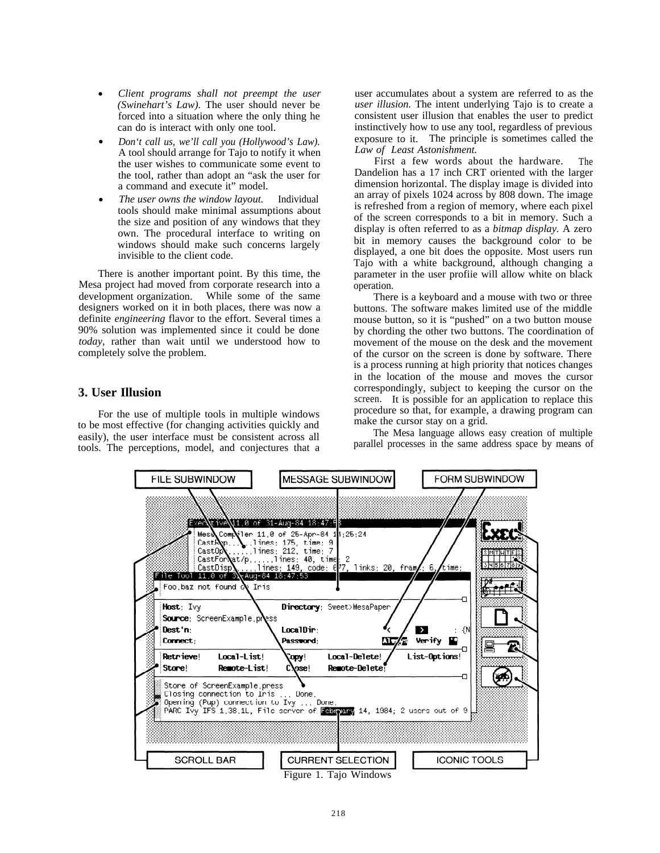- <sup>l</sup> *Client programs shall not preempt the user (Swinehart's Law).* The user should never be forced into a situation where the only thing he can do is interact with only one tool.
- <sup>l</sup> *Don't call us, we'll call you (Hollywood's Law).* A tool should arrange for Tajo to notify it when the user wishes to communicate some event to the tool, rather than adopt an "ask the user for a command and execute it" model.
- <sup>l</sup> *The user owns the window layout.* Individual tools should make minimal assumptions about the size and position of any windows that they own. The procedural interface to writing on windows should make such concerns largely invisible to the client code.

There is another important point. By this time, the Mesa project had moved from corporate research into a development organization. While some of the same designers worked on it in both places, there was now a definite *engineering* flavor to the effort. Several times a 90% solution was implemented since it could be done *today,* rather than wait until we understood how to completely solve the problem.

## **3. User Illusion**

For the use of multiple tools in multiple windows to be most effective (for changing activities quickly and easily), the user interface must be consistent across all tools. The perceptions, model, and conjectures that a user accumulates about a system are referred to as the *user illusion.* The intent underlying Tajo is to create a consistent user illusion that enables the user to predict instinctively how to use any tool, regardless of previous exposure to it. The principle is sometimes called the *Law of Least Astonishment.*

First a few words about the hardware. The Dandelion has a 17 inch CRT oriented with the larger dimension horizontal. The display image is divided into an array of pixels 1024 across by 808 down. The image is refreshed from a region of memory, where each pixel of the screen corresponds to a bit in memory. Such a display is often referred to as a *bitmap display.* A zero bit in memory causes the background color to be displayed, a one bit does the opposite. Most users run Tajo with a white background, although changing a parameter in the user profiie will allow white on black operation.

There is a keyboard and a mouse with two or three buttons. The software makes limited use of the middle mouse button, so it is "pushed" on a two button mouse by chording the other two buttons. The coordination of movement of the mouse on the desk and the movement of the cursor on the screen is done by software. There is a process running at high priority that notices changes in the location of the mouse and moves the cursor correspondingly, subject to keeping the cursor on the screen. It is possible for an application to replace this procedure so that, for example, a drawing program can make the cursor stay on a grid.

The Mesa language allows easy creation of multiple parallel processes in the same address space by means of

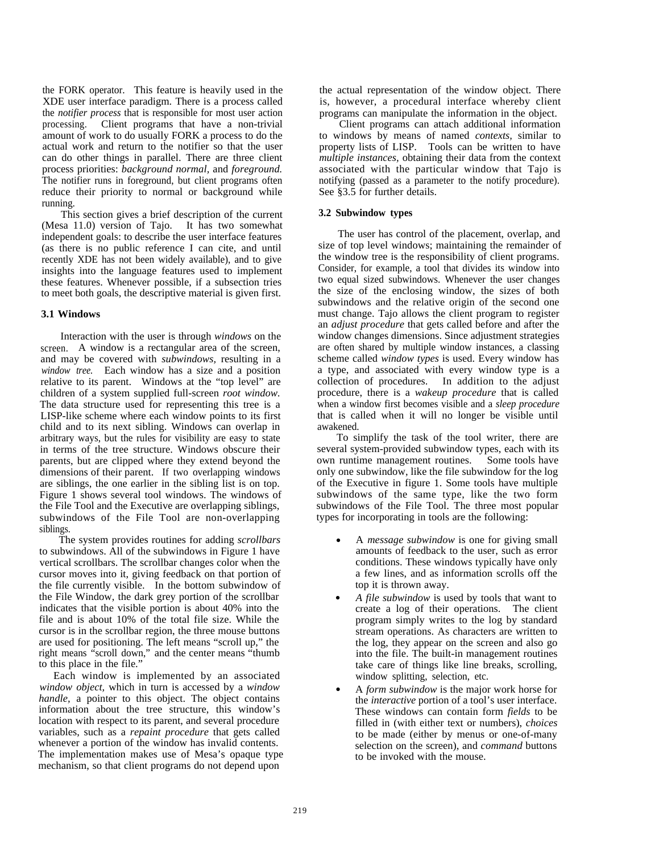the FORK operator. This feature is heavily used in the XDE user interface paradigm. There is a process called the *notifier process* that is responsible for most user action processing. Client programs that have a non-trivial amount of work to do usually FORK a process to do the actual work and return to the notifier so that the user can do other things in parallel. There are three client process priorities: *background normal,* and *foreground.* The notifier runs in foreground, but client programs often reduce their priority to normal or background while running.

This section gives a brief description of the current (Mesa 11.0) version of Tajo. It has two somewhat independent goals: to describe the user interface features (as there is no public reference I can cite, and until recently XDE has not been widely available), and to give insights into the language features used to implement these features. Whenever possible, if a subsection tries to meet both goals, the descriptive material is given first.

## **3.1 Windows**

Interaction with the user is through *windows* on the screen. A window is a rectangular area of the screen. and may be covered with *subwindows,* resulting in a *window tree.* Each window has a size and a position relative to its parent. Windows at the "top level" are children of a system supplied full-screen *root window.* The data structure used for representing this tree is a LISP-like scheme where each window points to its first child and to its next sibling. Windows can overlap in arbitrary ways, but the rules for visibility are easy to state in terms of the tree structure. Windows obscure their parents, but are clipped where they extend beyond the dimensions of their parent. If two overlapping windows are siblings, the one earlier in the sibling list is on top. Figure 1 shows several tool windows. The windows of the File Tool and the Executive are overlapping siblings, subwindows of the File Tool are non-overlapping siblings.

The system provides routines for adding *scrollbars* to subwindows. All of the subwindows in Figure 1 have vertical scrollbars. The scrollbar changes color when the cursor moves into it, giving feedback on that portion of the file currently visible. In the bottom subwindow of the File Window, the dark grey portion of the scrollbar indicates that the visible portion is about 40% into the file and is about 10% of the total file size. While the cursor is in the scrollbar region, the three mouse buttons are used for positioning. The left means "scroll up," the right means "scroll down," and the center means "thumb to this place in the file."

Each window is implemented by an associated *window object,* which in turn is accessed by a *window handle,* a pointer to this object. The object contains information about the tree structure, this window's location with respect to its parent, and several procedure variables, such as a *repaint procedure* that gets called whenever a portion of the window has invalid contents. The implementation makes use of Mesa's opaque type mechanism, so that client programs do not depend upon

the actual representation of the window object. There is, however, a procedural interface whereby client programs can manipulate the information in the object.

Client programs can attach additional information to windows by means of named *contexts,* similar to property lists of LISP. Tools can be written to have *multiple instances,* obtaining their data from the context associated with the particular window that Tajo is notifying (passed as a parameter to the notify procedure). See §3.5 for further details.

## **3.2 Subwindow types**

The user has control of the placement, overlap, and size of top level windows; maintaining the remainder of the window tree is the responsibility of client programs. Consider, for example, a tool that divides its window into two equal sized subwindows. Whenever the user changes the size of the enclosing window, the sizes of both subwindows and the relative origin of the second one must change. Tajo allows the client program to register an *adjust procedure* that gets called before and after the window changes dimensions. Since adjustment strategies are often shared by multiple window instances, a classing scheme called *window types* is used. Every window has a type, and associated with every window type is a collection of procedures. In addition to the adjust procedure, there is a *wakeup procedure* that is called when a window first becomes visible and a *sleep procedure* that is called when it will no longer be visible until awakened.

To simplify the task of the tool writer, there are several system-provided subwindow types, each with its own runtime management routines. Some tools have only one subwindow, like the file subwindow for the log of the Executive in figure 1. Some tools have multiple subwindows of the same type, like the two form subwindows of the File Tool. The three most popular types for incorporating in tools are the following:

- <sup>l</sup> A *message subwindow* is one for giving small amounts of feedback to the user, such as error conditions. These windows typically have only a few lines, and as information scrolls off the top it is thrown away.
- <sup>l</sup> *A file subwindow* is used by tools that want to create a log of their operations. The client program simply writes to the log by standard stream operations. As characters are written to the log, they appear on the screen and also go into the file. The built-in management routines take care of things like line breaks, scrolling, window splitting, selection, etc.
- <sup>l</sup> A *form subwindow* is the major work horse for the *interactive* portion of a tool's user interface. These windows can contain form *fields* to be filled in (with either text or numbers), *choices* to be made (either by menus or one-of-many selection on the screen), and *command* buttons to be invoked with the mouse.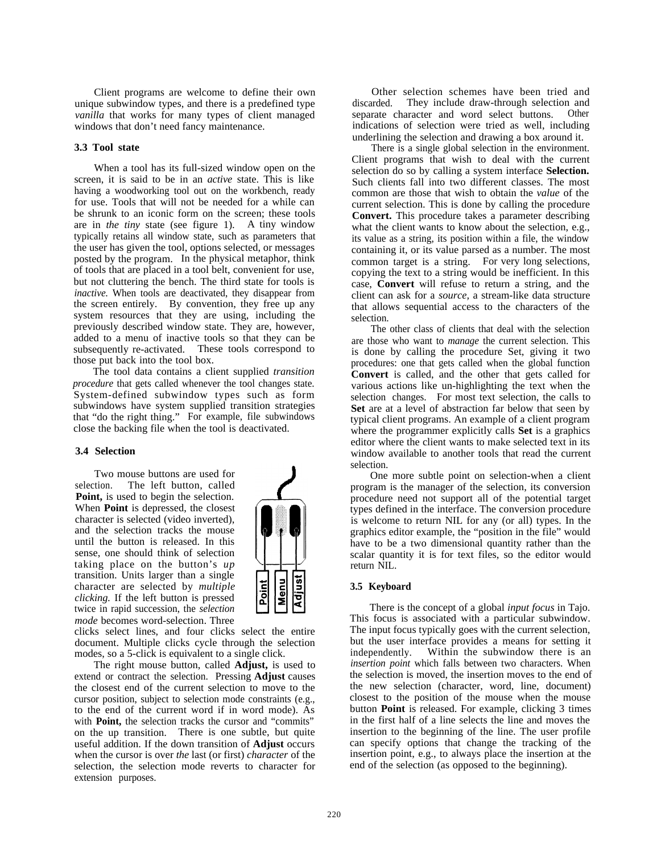Client programs are welcome to define their own unique subwindow types, and there is a predefined type *vanilla* that works for many types of client managed windows that don't need fancy maintenance.

## **3.3 Tool state**

When a tool has its full-sized window open on the screen, it is said to be in an *active* state. This is like having a woodworking tool out on the workbench, ready for use. Tools that will not be needed for a while can be shrunk to an iconic form on the screen; these tools are in *the tiny* state (see figure 1). A tiny window typically retains all window state, such as parameters that the user has given the tool, options selected, or messages posted by the program. In the physical metaphor, think of tools that are placed in a tool belt, convenient for use, but not cluttering the bench. The third state for tools is *inactive.* When tools are deactivated, they disappear from the screen entirely. By convention, they free up any system resources that they are using, including the previously described window state. They are, however, added to a menu of inactive tools so that they can be subsequently re-activated. These tools correspond to those put back into the tool box.

The tool data contains a client supplied *transition procedure* that gets called whenever the tool changes state. System-defined subwindow types such as form subwindows have system supplied transition strategies that "do the right thing." For example, file subwindows close the backing file when the tool is deactivated.

#### **3.4 Selection**

Two mouse buttons are used for selection. The left button, called **Point,** is used to begin the selection. When **Point** is depressed, the closest character is selected (video inverted), and the selection tracks the mouse until the button is released. In this sense, one should think of selection taking place on the button's *up* transition. Units larger than a single character are selected by *multiple clicking.* If the left button is pressed twice in rapid succession, the *selection mode* becomes word-selection. Three



clicks select lines, and four clicks select the entire document. Multiple clicks cycle through the selection modes, so a 5-click is equivalent to a single click.

The right mouse button, called **Adjust,** is used to extend or contract the selection. Pressing **Adjust** causes the closest end of the current selection to move to the cursor position, subject to selection mode constraints (e.g., to the end of the current word if in word mode). As with **Point**, the selection tracks the cursor and "commits" on the up transition. There is one subtle, but quite useful addition. If the down transition of **Adjust** occurs when the cursor is over *the* last (or first) *character* of the selection, the selection mode reverts to character for extension purposes.

Other selection schemes have been tried and discarded. They include draw-through selection and separate character and word select buttons. Other indications of selection were tried as well, including underlining the selection and drawing a box around it.

There is a single global selection in the environment. Client programs that wish to deal with the current selection do so by calling a system interface **Selection.** Such clients fall into two different classes. The most common are those that wish to obtain the *value* of the current selection. This is done by calling the procedure **Convert.** This procedure takes a parameter describing what the client wants to know about the selection, e.g., its value as a string, its position within a file, the window containing it, or its value parsed as a number. The most common target is a string. For very long selections, copying the text to a string would be inefficient. In this case, **Convert** will refuse to return a string, and the client can ask for a *source,* a stream-like data structure that allows sequential access to the characters of the selection.

The other class of clients that deal with the selection are those who want to *manage* the current selection. This is done by calling the procedure Set, giving it two procedures: one that gets called when the global function **Convert** is called, and the other that gets called for various actions like un-highlighting the text when the selection changes. For most text selection, the calls to **Set** are at a level of abstraction far below that seen by typical client programs. An example of a client program where the programmer explicitly calls **Set** is a graphics editor where the client wants to make selected text in its window available to another tools that read the current selection.

One more subtle point on selection-when a client program is the manager of the selection, its conversion procedure need not support all of the potential target types defined in the interface. The conversion procedure is welcome to return NIL for any (or all) types. In the graphics editor example, the "position in the file" would have to be a two dimensional quantity rather than the scalar quantity it is for text files, so the editor would return NIL.

#### **3.5 Keyboard**

There is the concept of a global *input focus* in Tajo. This focus is associated with a particular subwindow. The input focus typically goes with the current selection, but the user interface provides a means for setting it independently. Within the subwindow there is an *insertion point* which falls between two characters. When the selection is moved, the insertion moves to the end of the new selection (character, word, line, document) closest to the position of the mouse when the mouse button **Point** is released. For example, clicking 3 times in the first half of a line selects the line and moves the insertion to the beginning of the line. The user profile can specify options that change the tracking of the insertion point, e.g., to always place the insertion at the end of the selection (as opposed to the beginning).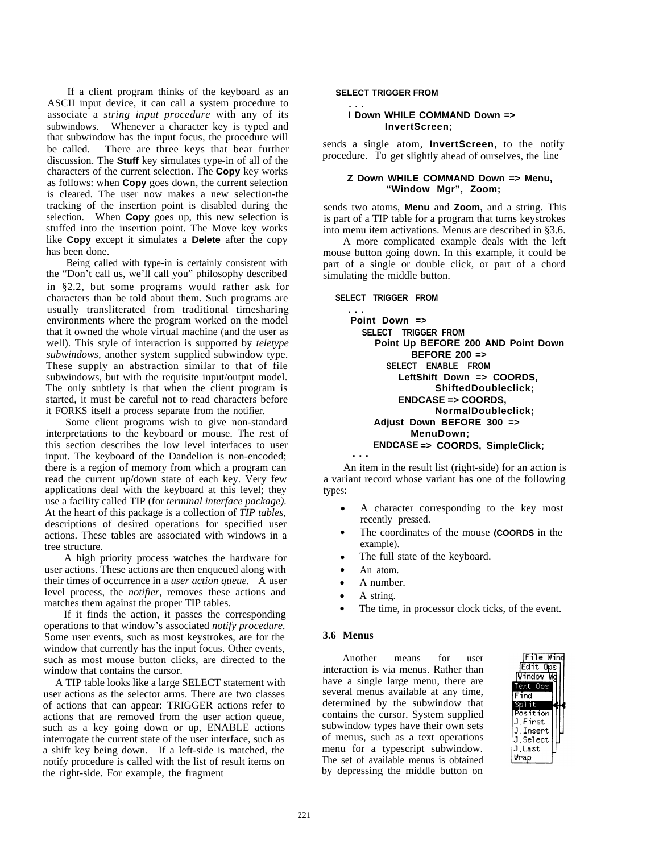If a client program thinks of the keyboard as an ASCII input device, it can call a system procedure to associate a *string input procedure* with any of its subwindows. Whenever a character key is typed and that subwindow has the input focus, the procedure will be called. There are three keys that bear further discussion. The **Stuff** key simulates type-in of all of the characters of the current selection. The **Copy** key works as follows: when **Copy** goes down, the current selection is cleared. The user now makes a new selection-the tracking of the insertion point is disabled during the selection. When **Copy** goes up, this new selection is stuffed into the insertion point. The Move key works like **Copy** except it simulates a **Delete** after the copy has been done.

Being called with type-in is certainly consistent with the "Don't call us, we'll call you" philosophy described in §2.2, but some programs would rather ask for characters than be told about them. Such programs are usually transliterated from traditional timesharing environments where the program worked on the model that it owned the whole virtual machine (and the user as well). This style of interaction is supported by *teletype subwindows,* another system supplied subwindow type. These supply an abstraction similar to that of file subwindows, but with the requisite input/output model. The only subtlety is that when the client program is started, it must be careful not to read characters before it FORKS itself a process separate from the notifier.

Some client programs wish to give non-standard interpretations to the keyboard or mouse. The rest of this section describes the low level interfaces to user input. The keyboard of the Dandelion is non-encoded; there is a region of memory from which a program can read the current up/down state of each key. Very few applications deal with the keyboard at this level; they use a facility called TIP (for *terminal interface package).* At the heart of this package is a collection of *TIP tables,* descriptions of desired operations for specified user actions. These tables are associated with windows in a tree structure.

A high priority process watches the hardware for user actions. These actions are then enqueued along with their times of occurrence in a *user action queue.* A user level process, the *notifier,* removes these actions and matches them against the proper TIP tables.

If it finds the action, it passes the corresponding operations to that window's associated *notify procedure.* Some user events, such as most keystrokes, are for the window that currently has the input focus. Other events, such as most mouse button clicks, are directed to the window that contains the cursor.

A TIP table looks like a large SELECT statement with user actions as the selector arms. There are two classes of actions that can appear: TRIGGER actions refer to actions that are removed from the user action queue, such as a key going down or up, ENABLE actions interrogate the current state of the user interface, such as a shift key being down. If a left-side is matched, the notify procedure is called with the list of result items on the right-side. For example, the fragment

#### **SELECT TRIGGER FROM**

#### **... I Down WHILE COMMAND Down => InvertScreen;**

sends a single atom, **InvertScreen,** to the notify procedure. To get slightly ahead of ourselves, the line

#### **Z Down WHILE COMMAND Down => Menu, "Window Mgr", Zoom;**

sends two atoms, **Menu** and **Zoom,** and a string. This is part of a TIP table for a program that turns keystrokes into menu item activations. Menus are described in §3.6.

A more complicated example deals with the left mouse button going down. In this example, it could be part of a single or double click, or part of a chord simulating the middle button.

#### **SELECT TRIGGER FROM**

**. . . . . . Point Down => SELECT TRIGGER FROM Point Up BEFORE 200 AND Point Down BEFORE 200 => SELECT ENABLE FROM LeftShift Down => COORDS, ShiftedDoubleclick; ENDCASE => COORDS, NormalDoubleclick; Adjust Down BEFORE 300 => MenuDown; ENDCASE => COORDS, SimpleClick;**

An item in the result list (right-side) for an action is a variant record whose variant has one of the following types:

- <sup>l</sup> A character corresponding to the key most recently pressed.
- <sup>l</sup> The coordinates of the mouse **(COORDS** in the example).
- The full state of the keyboard.
- An atom.
- A number.
- A string.
- The time, in processor clock ticks, of the event.

### **3.6 Menus**

Another means for user interaction is via menus. Rather than have a single large menu, there are several menus available at any time, determined by the subwindow that contains the cursor. System supplied subwindow types have their own sets of menus, such as a text operations menu for a typescript subwindow. The set of available menus is obtained by depressing the middle button on

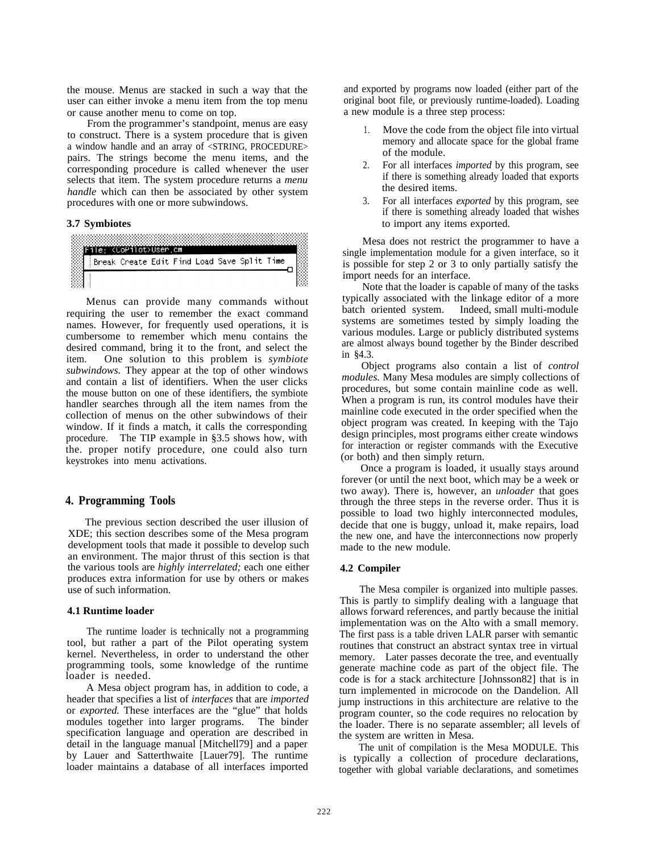the mouse. Menus are stacked in such a way that the user can either invoke a menu item from the top menu or cause another menu to come on top.

From the programmer's standpoint, menus are easy to construct. There is a system procedure that is given a window handle and an array of <STRING, PROCEDURE> pairs. The strings become the menu items, and the corresponding procedure is called whenever the user selects that item. The system procedure returns a *menu handle* which can then be associated by other system procedures with one or more subwindows.

#### **3.7 Symbiotes**

|  | <copilot>User.cm</copilot>                  |  |  |  |  |
|--|---------------------------------------------|--|--|--|--|
|  | Break Create Edit Find Load Save Split Time |  |  |  |  |
|  |                                             |  |  |  |  |

Menus can provide many commands without requiring the user to remember the exact command names. However, for frequently used operations, it is cumbersome to remember which menu contains the desired command, bring it to the front, and select the item. One solution to this problem is *symbiote subwindows.* They appear at the top of other windows and contain a list of identifiers. When the user clicks the mouse button on one of these identifiers, the symbiote handler searches through all the item names from the collection of menus on the other subwindows of their window. If it finds a match, it calls the corresponding procedure. The TIP example in §3.5 shows how, with the. proper notify procedure, one could also turn keystrokes into menu activations.

## **4. Programming Tools**

The previous section described the user illusion of XDE; this section describes some of the Mesa program development tools that made it possible to develop such an environment. The major thrust of this section is that the various tools are *highly interrelated;* each one either produces extra information for use by others or makes use of such information.

#### **4.1 Runtime loader**

The runtime loader is technically not a programming tool, but rather a part of the Pilot operating system kernel. Nevertheless, in order to understand the other programming tools, some knowledge of the runtime loader is needed.

A Mesa object program has, in addition to code, a header that specifies a list of *interfaces* that are *imported* or *exported.* These interfaces are the "glue" that holds modules together into larger programs. The binder specification language and operation are described in detail in the language manual [Mitchell79] and a paper by Lauer and Satterthwaite [Lauer79]. The runtime loader maintains a database of all interfaces imported

and exported by programs now loaded (either part of the original boot file, or previously runtime-loaded). Loading a new module is a three step process:

- 1. Move the code from the object file into virtual memory and allocate space for the global frame of the module.
- 2. For all interfaces *imported* by this program, see if there is something already loaded that exports the desired items.
- 3. For all interfaces *exported* by this program, see if there is something already loaded that wishes to import any items exported.

Mesa does not restrict the programmer to have a single implementation module for a given interface, so it is possible for step 2 or 3 to only partially satisfy the import needs for an interface.

Note that the loader is capable of many of the tasks typically associated with the linkage editor of a more batch oriented system. Indeed, small multi-module systems are sometimes tested by simply loading the various modules. Large or publicly distributed systems are almost always bound together by the Binder described in §4.3.

Object programs also contain a list of *control modules.* Many Mesa modules are simply collections of procedures, but some contain mainline code as well. When a program is run, its control modules have their mainline code executed in the order specified when the object program was created. In keeping with the Tajo design principles, most programs either create windows for interaction or register commands with the Executive (or both) and then simply return.

Once a program is loaded, it usually stays around forever (or until the next boot, which may be a week or two away). There is, however, an *unloader* that goes through the three steps in the reverse order. Thus it is possible to load two highly interconnected modules, decide that one is buggy, unload it, make repairs, load the new one, and have the interconnections now properly made to the new module.

## **4.2 Compiler**

The Mesa compiler is organized into multiple passes. This is partly to simplify dealing with a language that allows forward references, and partly because the initial implementation was on the Alto with a small memory. The first pass is a table driven LALR parser with semantic routines that construct an abstract syntax tree in virtual memory. Later passes decorate the tree, and eventually generate machine code as part of the object file. The code is for a stack architecture [Johnsson82] that is in turn implemented in microcode on the Dandelion. All jump instructions in this architecture are relative to the program counter, so the code requires no relocation by the loader. There is no separate assembler; all levels of the system are written in Mesa.

The unit of compilation is the Mesa MODULE. This is typically a collection of procedure declarations, together with global variable declarations, and sometimes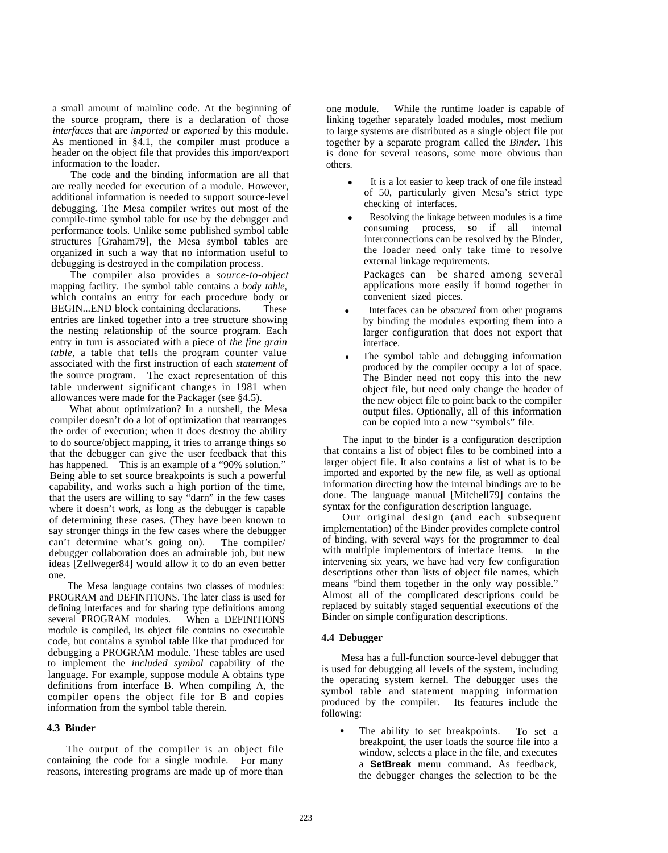a small amount of mainline code. At the beginning of the source program, there is a declaration of those *interfaces* that are *imported* or *exported* by this module. As mentioned in §4.1, the compiler must produce a header on the object file that provides this import/export information to the loader.

The code and the binding information are all that are really needed for execution of a module. However, additional information is needed to support source-level debugging. The Mesa compiler writes out most of the compile-time symbol table for use by the debugger and performance tools. Unlike some published symbol table structures [Graham79], the Mesa symbol tables are organized in such a way that no information useful to debugging is destroyed in the compilation process.

The compiler also provides a *source-to-object* mapping facility. The symbol table contains a *body table,* which contains an entry for each procedure body or BEGIN...END block containing declarations. These entries are linked together into a tree structure showing the nesting relationship of the source program. Each entry in turn is associated with a piece of *the fine grain table,* a table that tells the program counter value associated with the first instruction of each *statement* of the source program. The exact representation of this table underwent significant changes in 1981 when allowances were made for the Packager (see §4.5).

What about optimization? In a nutshell, the Mesa compiler doesn't do a lot of optimization that rearranges the order of execution; when it does destroy the ability to do source/object mapping, it tries to arrange things so that the debugger can give the user feedback that this has happened. This is an example of a "90% solution." Being able to set source breakpoints is such a powerful capability, and works such a high portion of the time, that the users are willing to say "darn" in the few cases where it doesn't work, as long as the debugger is capable of determining these cases. (They have been known to say stronger things in the few cases where the debugger can't determine what's going on). The compiler/ debugger collaboration does an admirable job, but new ideas [Zellweger84] would allow it to do an even better one.

The Mesa language contains two classes of modules: PROGRAM and DEFINITIONS. The later class is used for defining interfaces and for sharing type definitions among several PROGRAM modules. When a DEFINITIONS module is compiled, its object file contains no executable code, but contains a symbol table like that produced for debugging a PROGRAM module. These tables are used to implement the *included symbol* capability of the language. For example, suppose module A obtains type definitions from interface B. When compiling A, the compiler opens the object file for B and copies information from the symbol table therein.

#### **4.3 Binder**

The output of the compiler is an object file containing the code for a single module. For many reasons, interesting programs are made up of more than

one module. While the runtime loader is capable of linking together separately loaded modules, most medium to large systems are distributed as a single object file put together by a separate program called the *Binder.* This is done for several reasons, some more obvious than others.

- <sup>l</sup>It is a lot easier to keep track of one file instead of 50, particularly given Mesa's strict type checking of interfaces.
- Resolving the linkage between modules is a time consuming process, so if all internal interconnections can be resolved by the Binder, the loader need only take time to resolve external linkage requirements.

Packages can be shared among several applications more easily if bound together in convenient sized pieces.

- <sup>l</sup>Interfaces can be *obscured* from other programs by binding the modules exporting them into a larger configuration that does not export that interface.
- The symbol table and debugging information produced by the compiler occupy a lot of space. The Binder need not copy this into the new object file, but need only change the header of the new object file to point back to the compiler output files. Optionally, all of this information can be copied into a new "symbols" file.

The input to the binder is a configuration description that contains a list of object files to be combined into a larger object file. It also contains a list of what is to be imported and exported by the new file, as well as optional information directing how the internal bindings are to be done. The language manual [Mitchell79] contains the syntax for the configuration description language.

Our original design (and each subsequent implementation) of the Binder provides complete control of binding, with several ways for the programmer to deal with multiple implementors of interface items. In the intervening six years, we have had very few configuration descriptions other than lists of object file names, which means "bind them together in the only way possible." Almost all of the complicated descriptions could be replaced by suitably staged sequential executions of the Binder on simple configuration descriptions.

#### **4.4 Debugger**

Mesa has a full-function source-level debugger that is used for debugging all levels of the system, including the operating system kernel. The debugger uses the symbol table and statement mapping information produced by the compiler. Its features include the following:

The ability to set breakpoints. To set a breakpoint, the user loads the source file into a window, selects a place in the file, and executes a **SetBreak** menu command. As feedback, the debugger changes the selection to be the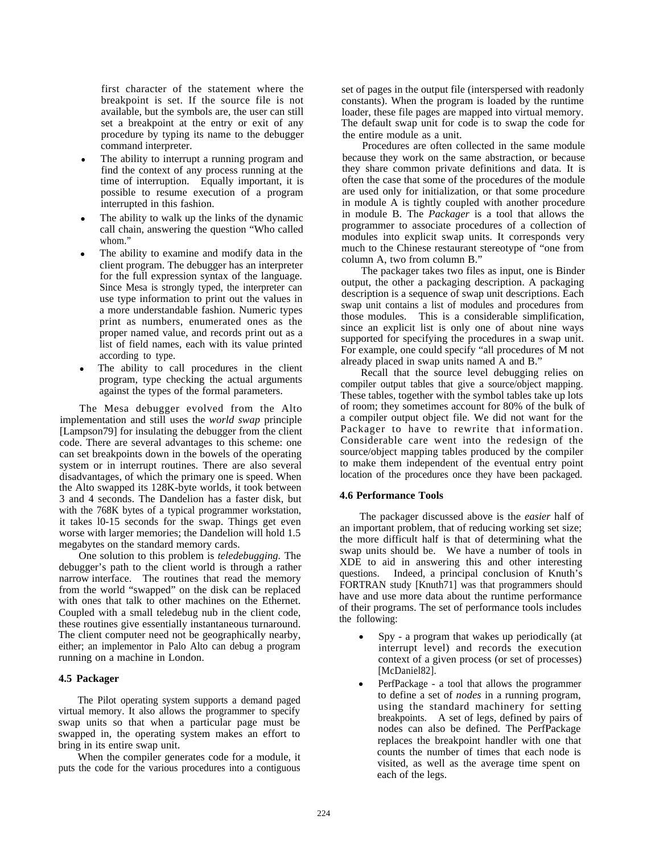first character of the statement where the breakpoint is set. If the source file is not available, but the symbols are, the user can still set a breakpoint at the entry or exit of any procedure by typing its name to the debugger command interpreter.

- The ability to interrupt a running program and find the context of any process running at the time of interruption. Equally important, it is possible to resume execution of a program interrupted in this fashion.
- The ability to walk up the links of the dynamic call chain, answering the question "Who called whom."
- The ability to examine and modify data in the client program. The debugger has an interpreter for the full expression syntax of the language. Since Mesa is strongly typed, the interpreter can use type information to print out the values in a more understandable fashion. Numeric types print as numbers, enumerated ones as the proper named value, and records print out as a list of field names, each with its value printed according to type.
- The ability to call procedures in the client program, type checking the actual arguments against the types of the formal parameters.

The Mesa debugger evolved from the Alto implementation and still uses the *world swap* principle [Lampson79] for insulating the debugger from the client code. There are several advantages to this scheme: one can set breakpoints down in the bowels of the operating system or in interrupt routines. There are also several disadvantages, of which the primary one is speed. When the Alto swapped its 128K-byte worlds, it took between 3 and 4 seconds. The Dandelion has a faster disk, but with the 768K bytes of a typical programmer workstation, it takes l0-15 seconds for the swap. Things get even worse with larger memories; the Dandelion will hold 1.5 megabytes on the standard memory cards.

One solution to this problem is *teledebugging.* The debugger's path to the client world is through a rather narrow interface. The routines that read the memory from the world "swapped" on the disk can be replaced with ones that talk to other machines on the Ethernet. Coupled with a small teledebug nub in the client code, these routines give essentially instantaneous turnaround. The client computer need not be geographically nearby, either; an implementor in Palo Alto can debug a program running on a machine in London.

#### **4.5 Packager**

The Pilot operating system supports a demand paged virtual memory. It also allows the programmer to specify swap units so that when a particular page must be swapped in, the operating system makes an effort to bring in its entire swap unit.

When the compiler generates code for a module, it puts the code for the various procedures into a contiguous

set of pages in the output file (interspersed with readonly constants). When the program is loaded by the runtime loader, these file pages are mapped into virtual memory. The default swap unit for code is to swap the code for the entire module as a unit.

Procedures are often collected in the same module because they work on the same abstraction, or because they share common private definitions and data. It is often the case that some of the procedures of the module are used only for initialization, or that some procedure in module A is tightly coupled with another procedure in module B. The *Packager* is a tool that allows the programmer to associate procedures of a collection of modules into explicit swap units. It corresponds very much to the Chinese restaurant stereotype of "one from column A, two from column B."

The packager takes two files as input, one is Binder output, the other a packaging description. A packaging description is a sequence of swap unit descriptions. Each swap unit contains a list of modules and procedures from those modules. This is a considerable simplification, since an explicit list is only one of about nine ways supported for specifying the procedures in a swap unit. For example, one could specify "all procedures of M not already placed in swap units named A and B."

Recall that the source level debugging relies on compiler output tables that give a source/object mapping. These tables, together with the symbol tables take up lots of room; they sometimes account for 80% of the bulk of a compiler output object file. We did not want for the Packager to have to rewrite that information. Considerable care went into the redesign of the source/object mapping tables produced by the compiler to make them independent of the eventual entry point location of the procedures once they have been packaged.

#### **4.6 Performance Tools**

The packager discussed above is the *easier* half of an important problem, that of reducing working set size; the more difficult half is that of determining what the swap units should be. We have a number of tools in XDE to aid in answering this and other interesting questions. Indeed, a principal conclusion of Knuth's FORTRAN study [Knuth71] was that programmers should have and use more data about the runtime performance of their programs. The set of performance tools includes the following:

- Spy a program that wakes up periodically (at interrupt level) and records the execution context of a given process (or set of processes) [McDaniel82].
- PerfPackage a tool that allows the programmer to define a set of *nodes* in a running program, using the standard machinery for setting breakpoints. A set of legs, defined by pairs of nodes can also be defined. The PerfPackage replaces the breakpoint handler with one that counts the number of times that each node is visited, as well as the average time spent on each of the legs.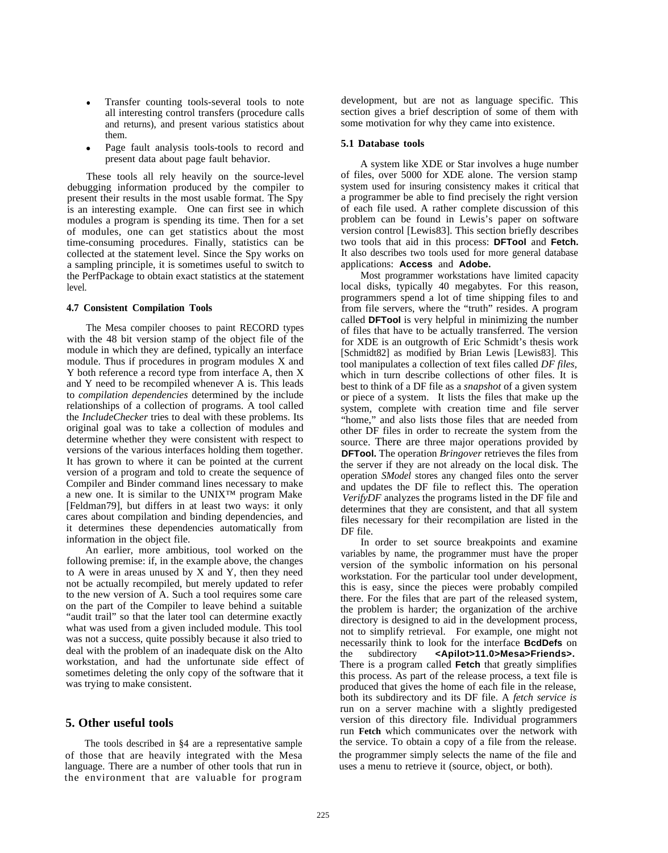- Transfer counting tools-several tools to note all interesting control transfers (procedure calls and returns), and present various statistics about them.
- Page fault analysis tools-tools to record and present data about page fault behavior.

These tools all rely heavily on the source-level debugging information produced by the compiler to present their results in the most usable format. The Spy is an interesting example. One can first see in which modules a program is spending its time. Then for a set of modules, one can get statistics about the most time-consuming procedures. Finally, statistics can be collected at the statement level. Since the Spy works on a sampling principle, it is sometimes useful to switch to the PerfPackage to obtain exact statistics at the statement level.

### **4.7 Consistent Compilation Tools**

The Mesa compiler chooses to paint RECORD types with the 48 bit version stamp of the object file of the module in which they are defined, typically an interface module. Thus if procedures in program modules X and Y both reference a record type from interface A, then X and Y need to be recompiled whenever A is. This leads to *compilation dependencies* determined by the include relationships of a collection of programs. A tool called the *IncludeChecker* tries to deal with these problems. Its original goal was to take a collection of modules and determine whether they were consistent with respect to versions of the various interfaces holding them together. It has grown to where it can be pointed at the current version of a program and told to create the sequence of Compiler and Binder command lines necessary to make a new one. It is similar to the UNIX™ program Make [Feldman79], but differs in at least two ways: it only cares about compilation and binding dependencies, and it determines these dependencies automatically from information in the object file.

An earlier, more ambitious, tool worked on the following premise: if, in the example above, the changes to A were in areas unused by X and Y, then they need not be actually recompiled, but merely updated to refer to the new version of A. Such a tool requires some care on the part of the Compiler to leave behind a suitable "audit trail" so that the later tool can determine exactly what was used from a given included module. This tool was not a success, quite possibly because it also tried to deal with the problem of an inadequate disk on the Alto workstation, and had the unfortunate side effect of sometimes deleting the only copy of the software that it was trying to make consistent.

## **5. Other useful tools**

The tools described in §4 are a representative sample of those that are heavily integrated with the Mesa language. There are a number of other tools that run in the environment that are valuable for program development, but are not as language specific. This section gives a brief description of some of them with some motivation for why they came into existence.

#### **5.1 Database tools**

A system like XDE or Star involves a huge number of files, over 5000 for XDE alone. The version stamp system used for insuring consistency makes it critical that a programmer be able to find precisely the right version of each file used. A rather complete discussion of this problem can be found in Lewis's paper on software version control [Lewis83]. This section briefly describes two tools that aid in this process: **DFTool** and **Fetch.** It also describes two tools used for more general database applications: **Access** and **Adobe.**

Most programmer workstations have limited capacity local disks, typically 40 megabytes. For this reason, programmers spend a lot of time shipping files to and from file servers, where the "truth" resides. A program called **DFTool** is very helpful in minimizing the number of files that have to be actually transferred. The version for XDE is an outgrowth of Eric Schmidt's thesis work [Schmidt82] as modified by Brian Lewis [Lewis83]. This tool manipulates a collection of text files called *DF files,* which in turn describe collections of other files. It is best to think of a DF file as a *snapshot* of a given system or piece of a system. It lists the files that make up the system, complete with creation time and file server "home," and also lists those files that are needed from other DF files in order to recreate the system from the source. There are three major operations provided by **DFTool.** The operation *Bringover* retrieves the files from the server if they are not already on the local disk. The operation *SModel* stores any changed files onto the server and updates the DF file to reflect this. The operation *VerifyDF* analyzes the programs listed in the DF file and determines that they are consistent, and that all system files necessary for their recompilation are listed in the DF file.

In order to set source breakpoints and examine variables by name, the programmer must have the proper version of the symbolic information on his personal workstation. For the particular tool under development, this is easy, since the pieces were probably compiled there. For the files that are part of the released system, the problem is harder; the organization of the archive directory is designed to aid in the development process, not to simplify retrieval. For example, one might not necessarily think to look for the interface **BcdDefs** on the subdirectory **<Apilot>11.0>Mesa>Friends>.** There is a program called **Fetch** that greatly simplifies this process. As part of the release process, a text file is produced that gives the home of each file in the release, both its subdirectory and its DF file. A *fetch service is* run on a server machine with a slightly predigested version of this directory file. Individual programmers run **Fetch** which communicates over the network with the service. To obtain a copy of a file from the release. the programmer simply selects the name of the file and uses a menu to retrieve it (source, object, or both).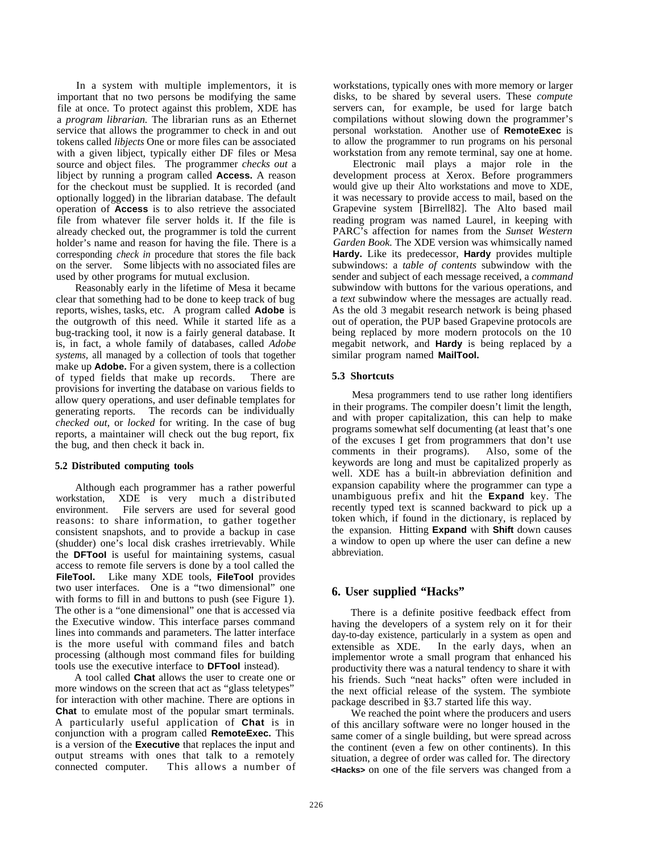In a system with multiple implementors, it is important that no two persons be modifying the same file at once. To protect against this problem, XDE has a *program librarian.* The librarian runs as an Ethernet service that allows the programmer to check in and out tokens called *libjects* One or more files can be associated with a given libject, typically either DF files or Mesa source and object files. The programmer *checks out* a libject by running a program called **Access.** A reason for the checkout must be supplied. It is recorded (and optionally logged) in the librarian database. The default operation of **Access** is to also retrieve the associated file from whatever file server holds it. If the file is already checked out, the programmer is told the current holder's name and reason for having the file. There is a corresponding *check in* procedure that stores the file back on the server. Some libjects with no associated files are used by other programs for mutual exclusion.

Reasonably early in the lifetime of Mesa it became clear that something had to be done to keep track of bug reports, wishes, tasks, etc. A program called **Adobe** is the outgrowth of this need. While it started life as a bug-tracking tool, it now is a fairly general database. It is, in fact, a whole family of databases, called *Adobe systems,* all managed by a collection of tools that together make up **Adobe.** For a given system, there is a collection of typed fields that make up records. There are provisions for inverting the database on various fields to allow query operations, and user definable templates for generating reports. The records can be individually *checked out,* or *locked* for writing. In the case of bug reports, a maintainer will check out the bug report, fix the bug, and then check it back in.

#### **5.2 Distributed computing tools**

Although each programmer has a rather powerful workstation, XDE is very much a distributed environment. File servers are used for several good reasons: to share information, to gather together consistent snapshots, and to provide a backup in case (shudder) one's local disk crashes irretrievably. While the **DFTooI** is useful for maintaining systems, casual access to remote file servers is done by a tool called the **FileTool.** Like many XDE tools, **FileTool** provides two user interfaces. One is a "two dimensional" one with forms to fill in and buttons to push (see Figure 1). The other is a "one dimensional" one that is accessed via the Executive window. This interface parses command lines into commands and parameters. The latter interface is the more useful with command files and batch processing (although most command files for building tools use the executive interface to **DFTool** instead).

A tool called **Chat** allows the user to create one or more windows on the screen that act as "glass teletypes" for interaction with other machine. There are options in **Chat** to emulate most of the popular smart terminals. A particularly useful application of **Chat** is in conjunction with a program called **RemoteExec.** This is a version of the **Executive** that replaces the input and output streams with ones that talk to a remotely connected computer. This allows a number of workstations, typically ones with more memory or larger disks, to be shared by several users. These *compute* servers can, for example, be used for large batch compilations without slowing down the programmer's personal workstation. Another use of **RemoteExec** is to allow the programmer to run programs on his personal workstation from any remote terminal, say one at home.

Electronic mail plays a major role in the development process at Xerox. Before programmers would give up their Alto workstations and move to XDE, it was necessary to provide access to mail, based on the Grapevine system [Birrell82]. The Alto based mail reading program was named Laurel, in keeping with PARC's affection for names from the *Sunset Western Garden Book.* The XDE version was whimsically named **Hardy.** Like its predecessor, **Hardy** provides multiple subwindows: a *table of contents* subwindow with the sender and subject of each message received, a *command* subwindow with buttons for the various operations, and a *text* subwindow where the messages are actually read. As the old 3 megabit research network is being phased out of operation, the PUP based Grapevine protocols are being replaced by more modern protocols on the 10 megabit network, and **Hardy** is being replaced by a similar program named **MailTool.**

#### **5.3 Shortcuts**

Mesa programmers tend to use rather long identifiers in their programs. The compiler doesn't limit the length, and with proper capitalization, this can help to make programs somewhat self documenting (at least that's one of the excuses I get from programmers that don't use comments in their programs). Also, some of the keywords are long and must be capitalized properly as well. XDE has a built-in abbreviation definition and expansion capability where the programmer can type a unambiguous prefix and hit the **Expand** key. The recently typed text is scanned backward to pick up a token which, if found in the dictionary, is replaced by the expansion. Hitting **Expand** with **Shift** down causes a window to open up where the user can define a new abbreviation.

## **6. User supplied "Hacks"**

There is a definite positive feedback effect from having the developers of a system rely on it for their day-to-day existence, particularly in a system as open and extensible as XDE. In the early days, when an implementor wrote a small program that enhanced his productivity there was a natural tendency to share it with his friends. Such "neat hacks" often were included in the next official release of the system. The symbiote package described in §3.7 started life this way.

We reached the point where the producers and users of this ancillary software were no longer housed in the same comer of a single building, but were spread across the continent (even a few on other continents). In this situation, a degree of order was called for. The directory **<Hacks>** on one of the file servers was changed from a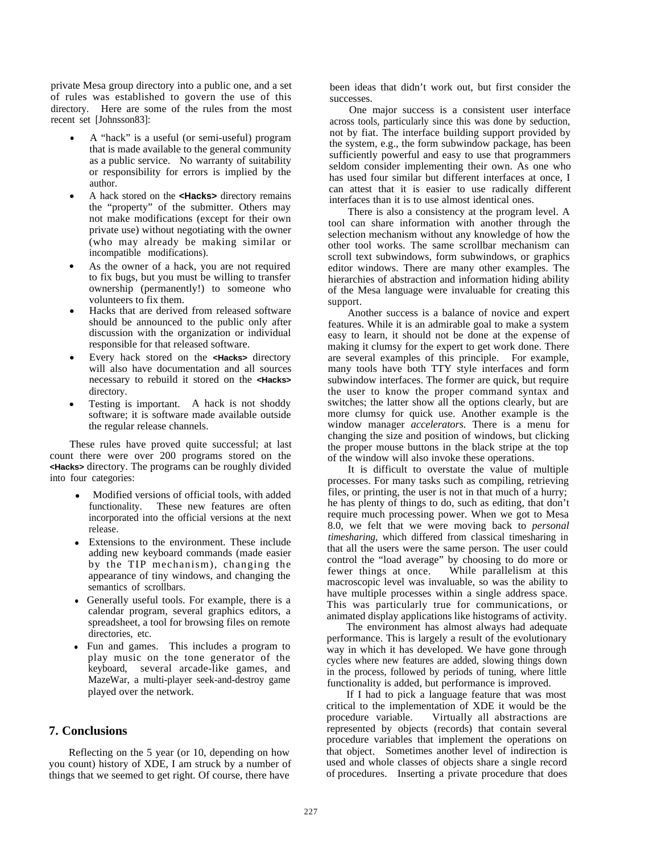private Mesa group directory into a public one, and a set of rules was established to govern the use of this directory. Here are some of the rules from the most recent set [Johnsson83]:

- <sup>l</sup> A "hack" is a useful (or semi-useful) program that is made available to the general community as a public service. No warranty of suitability or responsibility for errors is implied by the author.
- <sup>l</sup> A hack stored on the **<Hacks>** directory remains the "property" of the submitter. Others may not make modifications (except for their own private use) without negotiating with the owner (who may already be making similar or incompatible modifications).
- As the owner of a hack, you are not required to fix bugs, but you must be willing to transfer ownership (permanently!) to someone who volunteers to fix them.
- Hacks that are derived from released software should be announced to the public only after discussion with the organization or individual responsible for that released software.
- <sup>l</sup> Every hack stored on the **<Hacks>** directory will also have documentation and all sources necessary to rebuild it stored on the **<Hacks>** directory.
- Testing is important. A hack is not shoddy software; it is software made available outside the regular release channels.

These rules have proved quite successful; at last count there were over 200 programs stored on the **<Hacks>** directory. The programs can be roughly divided into four categories:

- Modified versions of official tools, with added functionality. These new features are often incorporated into the official versions at the next release.
- Extensions to the environment. These include adding new keyboard commands (made easier by the TIP mechanism), changing the appearance of tiny windows, and changing the semantics of scrollbars.
- Generally useful tools. For example, there is a calendar program, several graphics editors, a spreadsheet, a tool for browsing files on remote directories, etc.
- Fun and games. This includes a program to play music on the tone generator of the keyboard, several arcade-like games, and MazeWar, a multi-player seek-and-destroy game played over the network.

## **7. Conclusions**

Reflecting on the 5 year (or 10, depending on how you count) history of XDE, I am struck by a number of things that we seemed to get right. Of course, there have

been ideas that didn't work out, but first consider the successes.

One major success is a consistent user interface across tools, particularly since this was done by seduction, not by fiat. The interface building support provided by the system, e.g., the form subwindow package, has been sufficiently powerful and easy to use that programmers seldom consider implementing their own. As one who has used four similar but different interfaces at once, I can attest that it is easier to use radically different interfaces than it is to use almost identical ones.

There is also a consistency at the program level. A tool can share information with another through the selection mechanism without any knowledge of how the other tool works. The same scrollbar mechanism can scroll text subwindows, form subwindows, or graphics editor windows. There are many other examples. The hierarchies of abstraction and information hiding ability of the Mesa language were invaluable for creating this support.

Another success is a balance of novice and expert features. While it is an admirable goal to make a system easy to learn, it should not be done at the expense of making it clumsy for the expert to get work done. There are several examples of this principle. For example, many tools have both TTY style interfaces and form subwindow interfaces. The former are quick, but require the user to know the proper command syntax and switches; the latter show all the options clearly, but are more clumsy for quick use. Another example is the window manager *accelerators.* There is a menu for changing the size and position of windows, but clicking the proper mouse buttons in the black stripe at the top of the window will also invoke these operations.

It is difficult to overstate the value of multiple processes. For many tasks such as compiling, retrieving files, or printing, the user is not in that much of a hurry; he has plenty of things to do, such as editing, that don't require much processing power. When we got to Mesa 8.0, we felt that we were moving back to *personal timesharing,* which differed from classical timesharing in that all the users were the same person. The user could control the "load average" by choosing to do more or fewer things at once. While parallelism at this macroscopic level was invaluable, so was the ability to have multiple processes within a single address space. This was particularly true for communications, or animated display applications like histograms of activity.

The environment has almost always had adequate performance. This is largely a result of the evolutionary way in which it has developed. We have gone through cycles where new features are added, slowing things down in the process, followed by periods of tuning, where little functionality is added, but performance is improved.

If I had to pick a language feature that was most critical to the implementation of XDE it would be the procedure variable. Virtually all abstractions are represented by objects (records) that contain several procedure variables that implement the operations on that object. Sometimes another level of indirection is used and whole classes of objects share a single record of procedures. Inserting a private procedure that does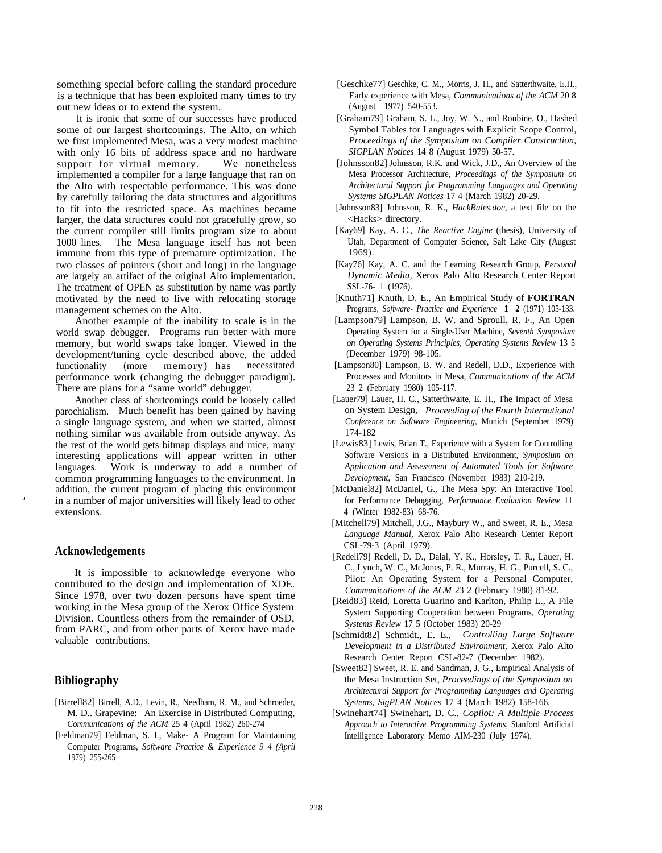something special before calling the standard procedure is a technique that has been exploited many times to try out new ideas or to extend the system.

It is ironic that some of our successes have produced some of our largest shortcomings. The Alto, on which we first implemented Mesa, was a very modest machine with only 16 bits of address space and no hardware support for virtual memory. We nonetheless implemented a compiler for a large language that ran on the Alto with respectable performance. This was done by carefully tailoring the data structures and algorithms to fit into the restricted space. As machines became larger, the data structures could not gracefully grow, so the current compiler still limits program size to about 1000 lines. The Mesa language itself has not been immune from this type of premature optimization. The two classes of pointers (short and long) in the language are largely an artifact of the original Alto implementation. The treatment of OPEN as substitution by name was partly motivated by the need to live with relocating storage management schemes on the Alto.

Another example of the inability to scale is in the world swap debugger. Programs run better with more memory, but world swaps take longer. Viewed in the development/tuning cycle described above, the added functionality (more memory) has necessitated performance work (changing the debugger paradigm). There are plans for a "same world" debugger.

Another class of shortcomings could be loosely called parochialism. Much benefit has been gained by having a single language system, and when we started, almost nothing similar was available from outside anyway. As the rest of the world gets bitmap displays and mice, many interesting applications will appear written in other languages. Work is underway to add a number of common programming languages to the environment. In addition, the current program of placing this environment in a number of major universities will likely lead to other extensions.

## **Acknowledgements**

It is impossible to acknowledge everyone who contributed to the design and implementation of XDE. Since 1978, over two dozen persons have spent time working in the Mesa group of the Xerox Office System Division. Countless others from the remainder of OSD, from PARC, and from other parts of Xerox have made valuable contributions.

## **Bibliography**

- [Birrell82] Birrell, A.D., Levin, R., Needham, R. M., and Schroeder, M. D.. Grapevine: An Exercise in Distributed Computing, *Communications of the ACM* 25 4 (April 1982) 260-274
- [Feldman79] Feldman, S. I., Make- A Program for Maintaining Computer Programs, *Software Practice & Experience 9 4 (April* 1979) 255-265
- [Geschke77] Geschke, C. M., Morris, J. H., and Satterthwaite, E.H., Early experience with Mesa, *Communications of the ACM* 20 8 (August 1977) 540-553.
- [Graham79] Graham, S. L., Joy, W. N., and Roubine, O., Hashed Symbol Tables for Languages with Explicit Scope Control, *Proceedings of the Symposium on Compiler Construction, SIGPLAN Notices* 14 8 (August 1979) 50-57.
- [Johnsson82] Johnsson, R.K. and Wick, J.D., An Overview of the Mesa Processor Architecture, *Proceedings of the Symposium on Architectural Support for Programming Languages and Operating Systems SIGPLAN Notices* 17 4 (March 1982) 20-29.
- [Johnsson83] Johnsson, R. K., *HackRules.doc,* a text file on the <Hacks> directory.
- [Kay69] Kay, A. C., *The Reactive Engine* (thesis), University of Utah, Department of Computer Science, Salt Lake City (August 1969).
- [Kay76] Kay, A. C. and the Learning Research Group, *Personal Dynamic Media,* Xerox Palo Alto Research Center Report SSL-76- 1 (1976).
- [Knuth71] Knuth, D. E., An Empirical Study of **FORTRAN** Programs, *Software- Practice and Experience* **1 2** (1971) 105-133.
- [Lampson79] Lampson, B. W. and Sproull, R. F., An Open Operating System for a Single-User Machine, *Seventh Symposium on Operating Systems Principles, Operating Systems Review* 13 5 (December 1979) 98-105.
- [Lampson80] Lampson, B. W. and Redell, D.D., Experience with Processes and Monitors in Mesa, *Communications of the ACM* 23 2 (February 1980) 105-117.
- [Lauer79] Lauer, H. C., Satterthwaite, E. H., The Impact of Mesa on System Design, *Proceeding of the Fourth International Conference on Software Engineering,* Munich (September 1979) 174-182
- [Lewis83] Lewis, Brian T., Experience with a System for Controlling Software Versions in a Distributed Environment, *Symposium on Application and Assessment of Automated Tools for Software Development,* San Francisco (November 1983) 210-219.
- [McDaniel82] McDaniel, G., The Mesa Spy: An Interactive Tool for Performance Debugging, *Performance Evaluation Review* 11 4 (Winter 1982-83) 68-76.
- [Mitchell79] Mitchell, J.G., Maybury W., and Sweet, R. E., Mesa *Language Manual,* Xerox Palo Alto Research Center Report CSL-79-3 (April 1979).
- [Redell79] Redell, D. D., Dalal, Y. K., Horsley, T. R., Lauer, H. C., Lynch, W. C., McJones, P. R., Murray, H. G., Purcell, S. C., Pilot: An Operating System for a Personal Computer, *Communications of the ACM* 23 2 (February 1980) 81-92.
- [Reid83] Reid, Loretta Guarino and Karlton, Philip L., A File System Supporting Cooperation between Programs, *Operating Systems Review* 17 5 (October 1983) 20-29
- [Schmidt82] Schmidt., E. E., *Controlling Large Software Development in a Distributed Environment,* Xerox Palo Alto Research Center Report CSL-82-7 (December 1982).
- [Sweet82] Sweet, R. E. and Sandman, J. G., Empirical Analysis of the Mesa Instruction Set, *Proceedings of the Symposium on Architectural Support for Programming Languages and Operating Systems, SigPLAN Notices* 17 4 (March 1982) 158-166.
- [Swinehart74] Swinehart, D. C., *Copilot: A Multiple Process Approach to Interactive Programming Systems,* Stanford Artificial Intelligence Laboratory Memo AIM-230 (July 1974).